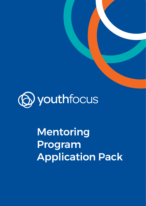

Mentoring Program Application Pack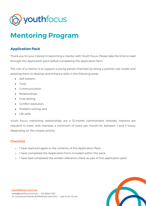

# **Mentoring Program**

## **Application Pack**

Thank you for your interest in becoming a mentor with Youth Focus. Please take the time to read through this application pack before completing the application form.

The role of a mentor is to support a young person (mentee) by being a positive role model and assisting them to develop and enhance skills in the following areas:

- Self-esteem;
- Trust;
- Communication;
- Relationships;
- Goal setting;
- Conflict resolution;
- Problem solving; and
- Life skills.

Youth Focus mentoring relationships are a 12-month commitment whereby mentors are required to meet with mentees a minimum of twice per month for between 1 and 3 hours, depending on the chosen activity.

### **Checklist**

- o I have read and agree to the contents of this Application Pack.
- o I have completed the Application Form included within this pack.
- o I have had completed the written reference check as part of this application pack.



#### youthfocus.com.au hello@youthfocus.com.au · 08 6266 4333 54 Goodwood Parade BURSWOOD WA 6100 · ABN 35 563 430 804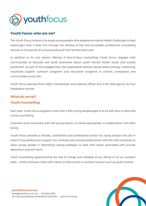

### **Youth Focus: who are we?**

The Youth Focus mission is to equip young people who experience mental health challenges to lead meaningful lives. It does this through the delivery of free and accessible professional counselling services to thousands of young people and their families each year.

In addition to its core service offering of face-to-face counselling, Youth Focus engages with communities to educate and build awareness about youth mental health issues and suicide prevention. As part of this engagement, the organisation delivers group-based therapy, mentoring, vocational support, outreach programs and education programs in schools, workplaces and communities across WA.

Youth Focus operates from eight metropolitan and regional offices and is the lead agency for four headspace centres.

### What do we do?

### Youth Counselling

Each year, Youth Focus supports more than 4,500 young people aged 12 to 25 with face-to-face and online counselling.

Clinicians work exclusively with the young person, or where appropriate, in collaboration with their family.

Youth Focus provides a friendly, confidential and professional service for young people who are in need of counselling and support. Our clinicians are trained professionals with the skills necessary to assist young people in identifying coping strategies to deal with issues associated with suicide, depression and self-harm.

Youth counselling appointments are free of charge and available at our offices or on an outreach basis – where clinicians meet with clients at their school or another location such as youth centres.

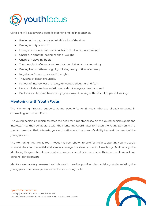

Clinicians will assist young people experiencing feelings such as:

- Feeling unhappy, moody or irritable a lot of the time;
- Feeling empty or numb;
- Losing interest and pleasure in activities that were once enjoyed;
- Change in appetite, eating habits or weight;
- Change in sleeping habit;
- Tiredness, lack of energy and motivation, difficulty concentrating;
- Feeling bad, worthless or guilty or being overly critical of oneself;
- Negative or 'down on yourself' thoughts;
- Thoughts of death or suicide;
- Periods of intense fear or anxiety; unwanted thoughts and fears;
- Uncontrollable and unrealistic worry about everyday situations; and
- Deliberate acts of self-harm or injury as a way of coping with difficult or painful feelings.

### **Mentoring with Youth Focus**

The Mentoring Program supports young people 12 to 25 years who are already engaged in counselling with Youth Focus.

The young person's clinician assesses the need for a mentor based on the young person's goals and interests. They then collaborate with the Mentoring Coordinator to match the young person with a mentor based on their interests, gender, location, and the mentor's ability to meet the needs of the young person.

The Mentoring Program at Youth Focus has been shown to be effective in supporting young people to meet their full potential and can encourage the development of resiliency. Additionally, the Mentoring Program has demonstrated numerous benefits to mentors in their own professional and personal development.

Mentors are carefully assessed and chosen to provide positive role modelling while assisting the young person to develop new and enhance existing skills.



### youthfocus.com.au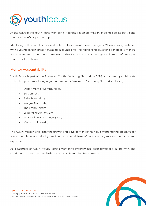

At the heart of the Youth Focus Mentoring Program, lies an affirmation of being a collaborative and mutually beneficial partnership.

Mentoring with Youth Focus specifically involves a mentor over the age of 21 years being matched with a young person already engaged in counselling. This relationship lasts for a period of 12 months and mentor and young person see each other for regular social outings a minimum of twice per month for 1 to 3 hours.

### Mentor Accountability

Youth Focus is part of the Australian Youth Mentoring Network (AYMN), and currently collaborate with other youth mentoring organisations on the WA Youth Mentoring Network including:

- Department of Communities;
- Ed Connect;
- Raise Mentoring;
- Wadjuk Northside;
- The Smith Family;
- Leading Youth Forward;
- Ngala Midwest Gascoyne; and,
- Murdoch University.

The AYMN mission is to foster the growth and development of high-quality mentoring programs for young people in Australia by providing a national base of collaboration, support, guidance and expertise.

As a member of AYMN, Youth Focus's Mentoring Program has been developed in line with, and continues to meet, the standards of Australian Mentoring Benchmarks.

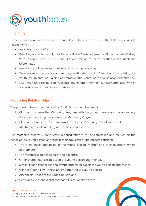

### **Eligibility**

Those enquiring about becoming a Youth Focus Mentor must meet the following eligibility requirements:

- Be at least 21 years of age;
- Be willing and able to apply for a National Police Clearance (less than 3 months old), Working With Children Check (current) and First Aid training to the satisfaction of the Mentoring Coordinator;
- Be willing to adhere to Youth Focus' policies and procedures;
- Be available to commence a mentoring relationship within 12 months of completing the Youth Focus Mentoring Training, and remain in the mentoring relationship for 12 months; and,
- Must not have a sibling, parent, spouse and/or family member currently employed with or accessing clinical services with Youth Focus.

### Mentoring Relationships

The process of being matched with a Youth Focus client begins with:

- 1. Clinician discusses the Mentoring Program with the young person, and collaboratively they refer the young person into the Mentoring Program;
- 2. Clinician submits the Client Referral Form to the Mentoring Coordinator; and
- 3. Mentoring Coordinator begins the matching process.

The matching process is conducted in consultation with the counsellor, and focuses on the needs of the young person as noted in their application. The process considers:

- The preferences and goals of the young person, mentor and their guardian (where appropriate);
- The mentor's experience, skills and expertise;
- Other shared interests between the young person and mentor;
- Similarity of personalities and temperaments between the young person and mentor;
- Gender or ethnicity, if these are important to the young person;
- Any special needs of the young person; and,
- Geographic closeness and compatibility of meeting times.

#### youthfocus.com.au

hello@youthfocus.com.au · 08 6266 4333 54 Goodwood Parade BURSWOOD WA 6100 · ABN 35 563 430 804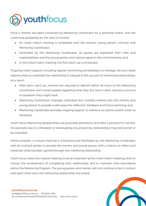

Once a mentor has been contacted by Mentoring Coordinator for a potential match, and has confirmed availability for the next 12 months:

- An initial match meeting is scheduled with the mentor, young person, clinician and Mentoring Coordinator;
- Facilitated by the Mentoring Coordinator, all parties are explained their roles and responsibilities and the young person and mentor agree to the commitments; and,
- In the initial match meeting, the first catch-up is scheduled.

Ongoing match support, including regular monitoring and feedback to manage risk and create opportunities to celebrate the relationship is integral to the success of mentoring relationships. As a result:

- After each catch up, mentors are required to debrief within 48 hours to the Mentoring Coordinator with a brief update regarding what they did, how it went, and any concerns or questions they might have;
- Mentoring Coordinator manages individual four monthly reviews with the mentor and young person to provide a safe space for reflection, feedback and future planning; and,
- Mentoring Coordinator provides ongoing support to mentors via phone and/or email as necessary.

Youth Focus Mentoring Relationships are purposely planned to end after a period of 12 months. Occasionally due to unforeseen or extenuating circumstances, relationships may end sooner or be extended.

Where possible, a closure meeting is scheduled and facilitated by the Mentoring Coordinator with all involved parties to provide the mentor and young person with a chance to reflect and celebrate what has been gained through the mentoring relationship.

Youth Focus views the closure meeting to be as important as the initial match meeting, both to honour the achievement of completing their relationship, and to maintain clear boundaries within the Mentoring Program. The young person and mentor will not continue to be in contact with each other once the mentoring relationship has ended.



#### youthfocus.com.au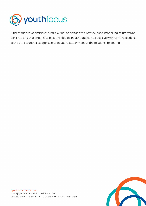

A mentoring relationship ending is a final opportunity to provide good modelling to the young person, being that endings to relationships are healthy and can be positive with warm reflections of the time together as opposed to negative attachment to the relationship ending.



#### youthfocus.com.au

hello@youthfocus.com.au · 08 6266 4333 54 Goodwood Parade BURSWOOD WA 6100 · ABN 35 563 430 804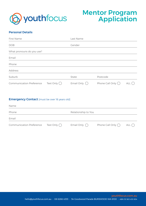

# Mentor Program Application

### Personal Details

| First Name                                             | Last Name            |                           |     |
|--------------------------------------------------------|----------------------|---------------------------|-----|
| <b>DOB</b>                                             | Gender               |                           |     |
| What pronouns do you use?                              |                      |                           |     |
| Email                                                  |                      |                           |     |
| Phone                                                  |                      |                           |     |
| Address                                                |                      |                           |     |
| Suburb                                                 | State                | Postcode                  |     |
| Text Only $\bigcap$<br><b>Communication Preference</b> | Email Only $\bigcap$ | Phone Call Only $\bigcap$ | ALL |

### **Emergency Contact** [must be over 18 years old]

| Name                            |                     |                      |                           |               |
|---------------------------------|---------------------|----------------------|---------------------------|---------------|
| Phone                           |                     | Relationship to You  |                           |               |
| Email                           |                     |                      |                           |               |
| <b>Communication Preference</b> | Text Only $\bigcap$ | Email Only $\bigcap$ | Phone Call Only $\bigcap$ | ALL $\bigcap$ |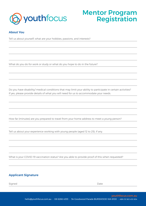

# Mentor Program Registration

### About You

Tell us about yourself; what are your hobbies, passions, and interests?

What do you do for work or study or what do you hope to do in the future?

Do you have disability/ medical conditions that may limit your ability to participate in certain activities? If yes, please provide details of what you will need for us to accommodate your needs.

How far (minutes) are you prepared to travel from your home address to meet a young person?

Tell us about your experience working with young people (aged 12 to 25), if any.

What is your COVID-19 vaccination status? Are you able to provide proof of this when requested?

### Applicant Signature

Signed Date (2008) and the state of the state of the state of the Date of the Date of the Date of the Date of the Date of the Date of the Date of the Date of the Date of the Date of the Date of the Date of the Date of the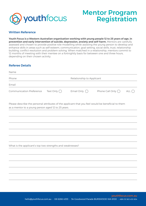

# Mentor Program Registration

### Written Reference

**Youth Focus is a Western Australian organisation working with young people 12 to 25 years of age, in prevention and early intervention of suicide, depression, anxiety and self-harm.** Mentors are carefully assessed and chosen to provide positive role modelling while assisting the young person to develop and enhance skills in areas such as self-esteem, communication, goal setting, social skills, trust, relationship building, conflict resolution and problem solving. When matched in a relationship, mentors commit to 12 months of meeting with their mentee on a fortnightly basis for between one and three hours, depending on their chosen activity.

### Referee Details

| Name                                                                                                                                                     |                     |                      |                           |     |  |
|----------------------------------------------------------------------------------------------------------------------------------------------------------|---------------------|----------------------|---------------------------|-----|--|
| Phone                                                                                                                                                    |                     |                      | Relationship to Applicant |     |  |
| Email                                                                                                                                                    |                     |                      |                           |     |  |
| <b>Communication Preference</b>                                                                                                                          | Text Only $\bigcap$ | Email Only $\bigcap$ | Phone Call Only $\bigcap$ | all |  |
| Please describe the personal attributes of the applicant that you feel would be beneficial to them<br>as a mentor to a young person aged 12 to 25 years. |                     |                      |                           |     |  |
|                                                                                                                                                          |                     |                      |                           |     |  |
|                                                                                                                                                          |                     |                      |                           |     |  |
|                                                                                                                                                          |                     |                      |                           |     |  |
|                                                                                                                                                          |                     |                      |                           |     |  |
|                                                                                                                                                          |                     |                      |                           |     |  |
| What is the applicant's top two strengths and weaknesses?                                                                                                |                     |                      |                           |     |  |
|                                                                                                                                                          |                     |                      |                           |     |  |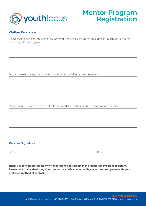

# Mentor Program Registration

### Written Reference

Please outline any considerations you feel might make it difficult for the applicant to support a young person aged 12 to 24 years

Do you believe the applicant is a trustworthy person? Please provide details.

Do you view the applicant as a suitable role model for young people? Please provide details.

### Referee Signature

Signed Date (2008) and the state of the state of the state of the Date of the Date of the Date of the Date of the Date of the Date of the Date of the Date of the Date of the Date of the Date of the Date of the Date of the

**Thank you for completing this written reference in support of the Mentoring Program applicant. Please note that a Mentoring Coordinator may be in contact with you in the coming weeks via your preferred method of contact.**